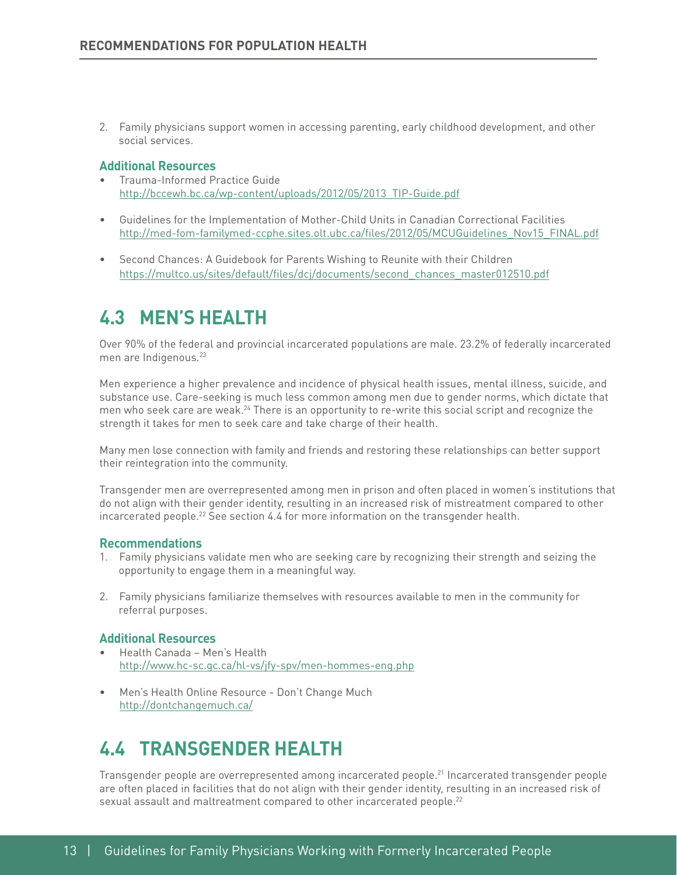2. Family physicians support women in accessing parenting, early childhood development, and other social services.

#### **Additional Resources**

- Trauma-Informed Practice Guide [http://bccewh.bc.ca/wp-content/uploads/2012/05/2013\\_TIP-Guide.pdf](http://bccewh.bc.ca/wp-content/uploads/2012/05/2013_TIP-Guide.pdf)
- Guidelines for the Implementation of Mother-Child Units in Canadian Correctional Facilities [http://med-fom-familymed-ccphe.sites.olt.ubc.ca/fles/2012/05/MCUGuidelines\\_Nov15\\_FINAL.pdf](http://med-fom-familymed-ccphe.sites.olt.ubc.ca/files/2012/05/MCUGuidelines_Nov15_FINAL.pdf)
- Second Chances: A Guidebook for Parents Wishing to Reunite with their Children [https://multco.us/sites/default/fles/dcj/documents/second\\_chances\\_master012510.pdf](https://multco.us/sites/default/files/dcj/documents/second_chances_master012510.pdf)

# **4.3 MEN'S HEALTH**

Over 90% of the federal and provincial incarcerated populations are male. 23.2% of federally incarcerated men are Indigenous.<sup>23</sup>

Men experience a higher prevalence and incidence of physical health issues, mental illness, suicide, and substance use. Care-seeking is much less common among men due to gender norms, which dictate that men who seek care are weak.<sup>24</sup> There is an opportunity to re-write this social script and recognize the strength it takes for men to seek care and take charge of their health.

Many men lose connection with family and friends and restoring these relationships can better support their reintegration into the community.

Transgender men are overrepresented among men in prison and often placed in women's institutions that do not align with their gender identity, resulting in an increased risk of mistreatment compared to other incarcerated people.22 See section 4.4 for more information on the transgender health.

#### **Recommendations**

- 1. Family physicians validate men who are seeking care by recognizing their strength and seizing the opportunity to engage them in a meaningful way.
- 2. Family physicians familiarize themselves with resources available to men in the community for referral purposes.

#### **Additional Resources**

- Health Canada Men's Health <http://www.hc-sc.gc.ca/hl-vs/jfy-spv/men-hommes-eng.php>
- Men's Health Online Resource Don't Change Much <http://dontchangemuch.ca/>

# **4.4 TRANSGENDER HEALTH**

Transgender people are overrepresented among incarcerated people.<sup>21</sup> Incarcerated transgender people are often placed in facilities that do not align with their gender identity, resulting in an increased risk of sexual assault and maltreatment compared to other incarcerated people.<sup>22</sup>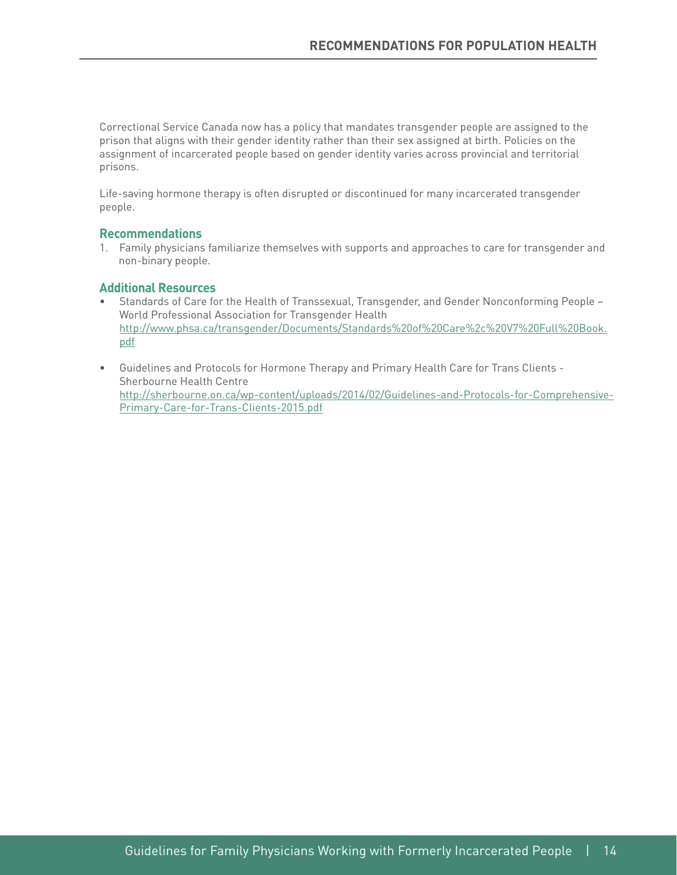Correctional Service Canada now has a policy that mandates transgender people are assigned to the prison that aligns with their gender identity rather than their sex assigned at birth. Policies on the assignment of incarcerated people based on gender identity varies across provincial and territorial prisons.

Life-saving hormone therapy is often disrupted or discontinued for many incarcerated transgender people.

#### **Recommendations**

1. Family physicians familiarize themselves with supports and approaches to care for transgender and non-binary people.

- Standards of Care for the Health of Transsexual, Transgender, and Gender Nonconforming People World Professional Association for Transgender Health [http://www.phsa.ca/transgender/Documents/Standards%20of%20Care%2c%20V7%20Full%20Book.](http://www.phsa.ca/transgender/Documents/Standards of Care%2c V7 Full Book.pdf) [pdf](http://www.phsa.ca/transgender/Documents/Standards of Care%2c V7 Full Book.pdf)
- Guidelines and Protocols for Hormone Therapy and Primary Health Care for Trans Clients Sherbourne Health Centre [http://sherbourne.on.ca/wp-content/uploads/2014/02/Guidelines-and-Protocols-for-Comprehensive-](http://sherbourne.on.ca/wp-content/uploads/2014/02/Guidelines-and-Protocols-for-Comprehensive-Primary-Care-for-Trans-Clients-2015.pdf)[Primary-Care-for-Trans-Clients-2015.pdf](http://sherbourne.on.ca/wp-content/uploads/2014/02/Guidelines-and-Protocols-for-Comprehensive-Primary-Care-for-Trans-Clients-2015.pdf)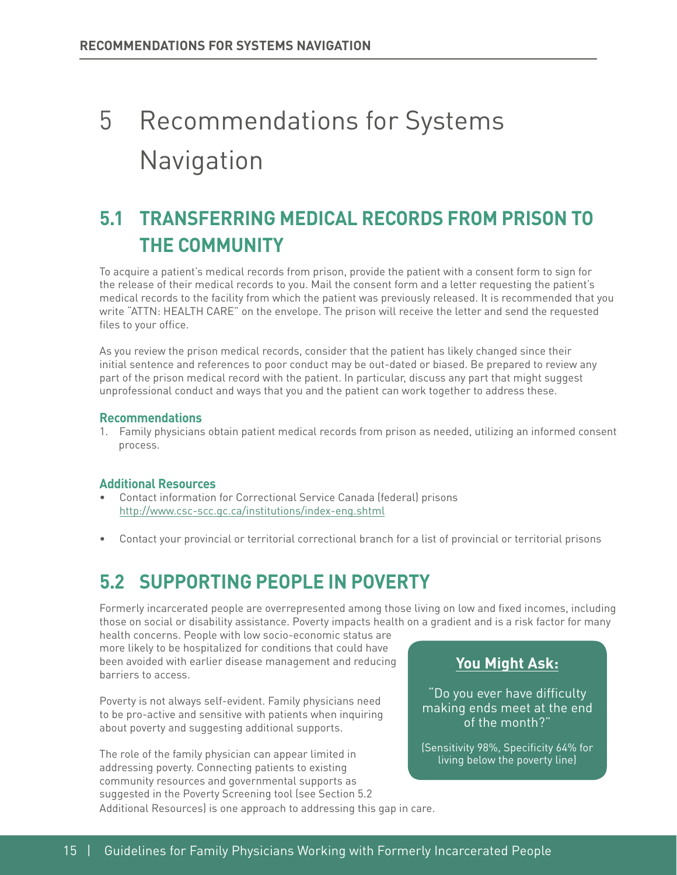# 5 Recommendations for Systems **Navigation**

# **5.1 TRANSFERRING MEDICAL RECORDS FROM PRISON TO THE COMMUNITY**

To acquire a patient's medical records from prison, provide the patient with a consent form to sign for the release of their medical records to you. Mail the consent form and a letter requesting the patient's medical records to the facility from which the patient was previously released. It is recommended that you write "ATTN: HEALTH CARE" on the envelope. The prison will receive the letter and send the requested files to your office.

As you review the prison medical records, consider that the patient has likely changed since their initial sentence and references to poor conduct may be out-dated or biased. Be prepared to review any part of the prison medical record with the patient. In particular, discuss any part that might suggest unprofessional conduct and ways that you and the patient can work together to address these.

#### **Recommendations**

1. Family physicians obtain patient medical records from prison as needed, utilizing an informed consent process.

### **Additional Resources**

- Contact information for Correctional Service Canada (federal) prisons <http://www.csc-scc.gc.ca/institutions/index-eng.shtml>
- Contact your provincial or territorial correctional branch for a list of provincial or territorial prisons

# **5.2 SUPPORTING PEOPLE IN POVERTY**

Formerly incarcerated people are overrepresented among those living on low and fxed incomes, including those on social or disability assistance. Poverty impacts health on a gradient and is a risk factor for many

health concerns. People with low socio-economic status are more likely to be hospitalized for conditions that could have been avoided with earlier disease management and reducing barriers to access.

Poverty is not always self-evident. Family physicians need to be pro-active and sensitive with patients when inquiring about poverty and suggesting additional supports.

The role of the family physician can appear limited in addressing poverty. Connecting patients to existing community resources and governmental supports as suggested in the Poverty Screening tool (see Section 5.2 Additional Resources) is one approach to addressing this gap in care.

# **You Might Ask:**

"Do you ever have difficulty making ends meet at the end of the month?"

(Sensitivity 98%, Specificity 64% for living below the poverty line)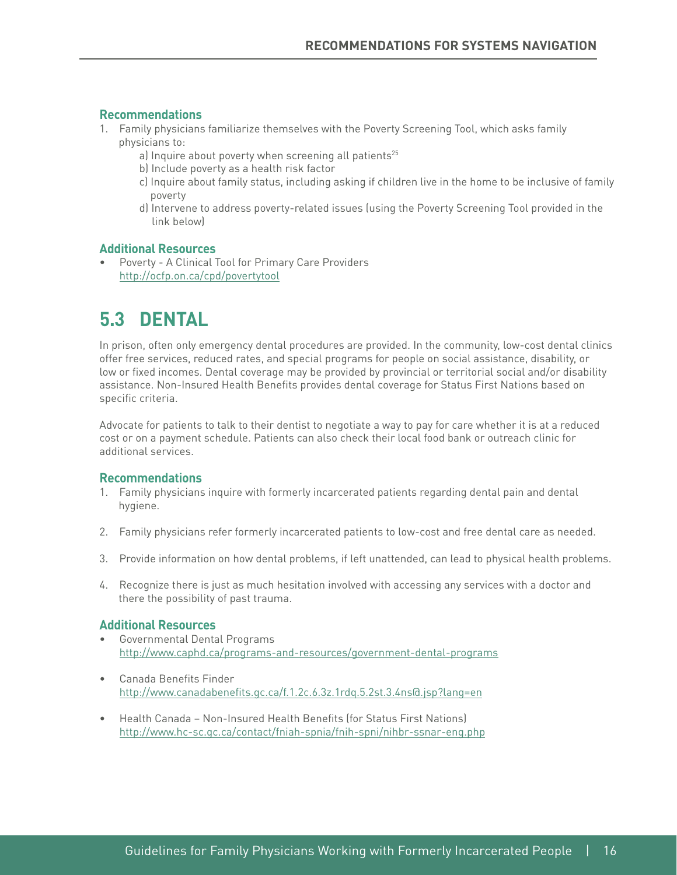#### **Recommendations**

- 1. Family physicians familiarize themselves with the Poverty Screening Tool, which asks family physicians to:
	- a) Inquire about poverty when screening all patients<sup>25</sup>
	- b) Include poverty as a health risk factor
	- c) Inquire about family status, including asking if children live in the home to be inclusive of family poverty
	- d) Intervene to address poverty-related issues (using the Poverty Screening Tool provided in the link below)

#### **Additional Resources**

• Poverty - A Clinical Tool for Primary Care Providers <http://ocfp.on.ca/cpd/povertytool>

# **5.3 DENTAL**

In prison, often only emergency dental procedures are provided. In the community, low-cost dental clinics offer free services, reduced rates, and special programs for people on social assistance, disability, or low or fixed incomes. Dental coverage may be provided by provincial or territorial social and/or disability assistance. Non-Insured Health Benefits provides dental coverage for Status First Nations based on specific criteria.

Advocate for patients to talk to their dentist to negotiate a way to pay for care whether it is at a reduced cost or on a payment schedule. Patients can also check their local food bank or outreach clinic for additional services.

#### **Recommendations**

- 1. Family physicians inquire with formerly incarcerated patients regarding dental pain and dental hygiene.
- 2. Family physicians refer formerly incarcerated patients to low-cost and free dental care as needed.
- 3. Provide information on how dental problems, if left unattended, can lead to physical health problems.
- 4. Recognize there is just as much hesitation involved with accessing any services with a doctor and there the possibility of past trauma.

- Governmental Dental Programs <http://www.caphd.ca/programs-and-resources/government-dental-programs>
- Canada Benefits Finder [http://www.canadabenefts.gc.ca/f.1.2c.6.3z.1rdq.5.2st.3.4ns@.jsp?lang=en](http://www.canadabenefits.gc.ca/f.1.2c.6.3z.1rdq.5.2st.3.4ns@.jsp?lang=en)
- Health Canada Non-Insured Health Benefits (for Status First Nations) <http://www.hc-sc.gc.ca/contact/fniah-spnia/fnih-spni/nihbr-ssnar-eng.php>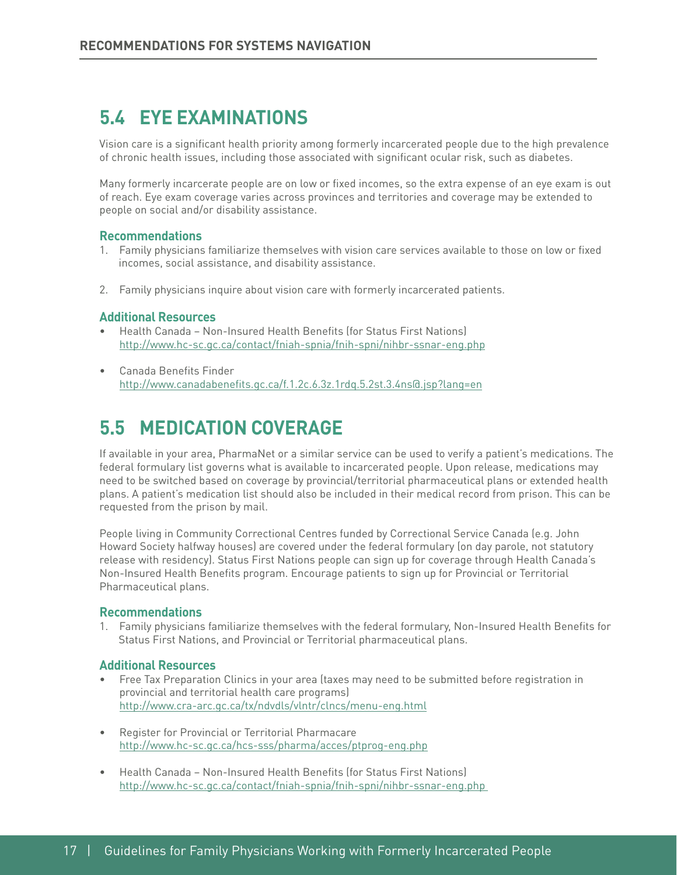# **5.4 EYE EXAMINATIONS**

Vision care is a signifcant health priority among formerly incarcerated people due to the high prevalence of chronic health issues, including those associated with signifcant ocular risk, such as diabetes.

Many formerly incarcerate people are on low or fxed incomes, so the extra expense of an eye exam is out of reach. Eye exam coverage varies across provinces and territories and coverage may be extended to people on social and/or disability assistance.

#### **Recommendations**

- 1. Family physicians familiarize themselves with vision care services available to those on low or fxed incomes, social assistance, and disability assistance.
- 2. Family physicians inquire about vision care with formerly incarcerated patients.

#### **Additional Resources**

- Health Canada Non-Insured Health Benefts (for Status First Nations) <http://www.hc-sc.gc.ca/contact/fniah-spnia/fnih-spni/nihbr-ssnar-eng.php>
- Canada Benefits Finder [http://www.canadabenefts.gc.ca/f.1.2c.6.3z.1rdq.5.2st.3.4ns@.jsp?lang=en](http://www.canadabenefits.gc.ca/f.1.2c.6.3z.1rdq.5.2st.3.4ns@.jsp?lang=en)

# **5.5 MEDICATION COVERAGE**

If available in your area, PharmaNet or a similar service can be used to verify a patient's medications. The federal formulary list governs what is available to incarcerated people. Upon release, medications may need to be switched based on coverage by provincial/territorial pharmaceutical plans or extended health plans. A patient's medication list should also be included in their medical record from prison. This can be requested from the prison by mail.

People living in Community Correctional Centres funded by Correctional Service Canada (e.g. John Howard Society halfway houses) are covered under the federal formulary (on day parole, not statutory release with residency). Status First Nations people can sign up for coverage through Health Canada's Non-Insured Health Benefts program. Encourage patients to sign up for Provincial or Territorial Pharmaceutical plans.

#### **Recommendations**

1. Family physicians familiarize themselves with the federal formulary, Non-Insured Health Benefts for Status First Nations, and Provincial or Territorial pharmaceutical plans.

- Free Tax Preparation Clinics in your area (taxes may need to be submitted before registration in provincial and territorial health care programs) <http://www.cra-arc.gc.ca/tx/ndvdls/vlntr/clncs/menu-eng.html>
- http://www.hc-sc.gc.ca/hcs-sss/pharma/acces/ptprog-eng.php • Register for Provincial or Territorial Pharmacare
- health Canada Non-Insured Health Benefits (for Status First Nations) <http://www.hc-sc.gc.ca/contact/fniah-spnia/fnih-spni/nihbr-ssnar-eng.php>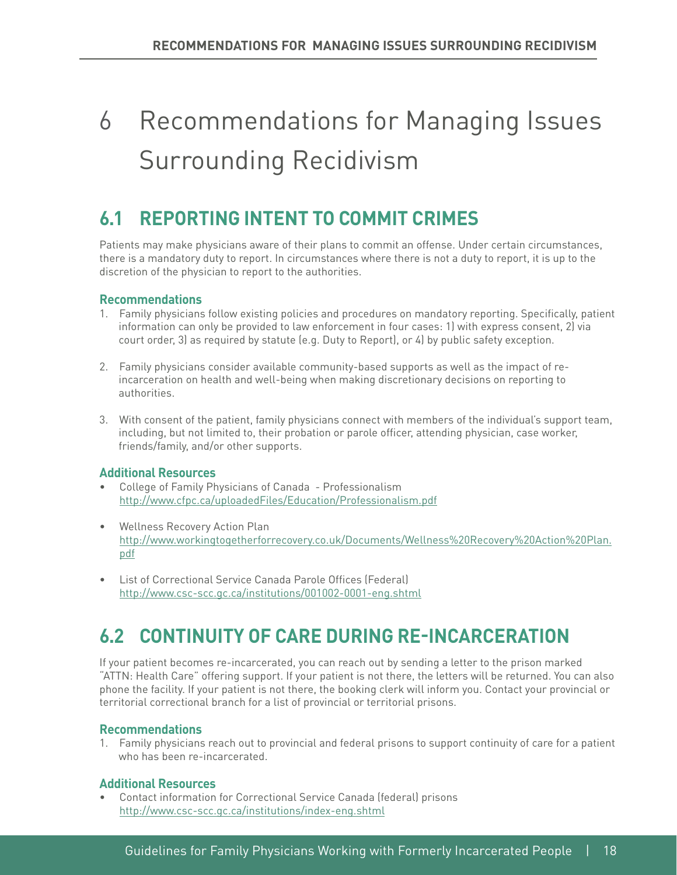# 6 Recommendations for Managing Issues Surrounding Recidivism

# **6.1 REPORTING INTENT TO COMMIT CRIMES**

Patients may make physicians aware of their plans to commit an offense. Under certain circumstances, there is a mandatory duty to report. In circumstances where there is not a duty to report, it is up to the discretion of the physician to report to the authorities.

### **Recommendations**

- 1. Family physicians follow existing policies and procedures on mandatory reporting. Specifcally, patient information can only be provided to law enforcement in four cases: 1) with express consent, 2) via court order, 3) as required by statute (e.g. Duty to Report), or 4) by public safety exception.
- 2. Family physicians consider available community-based supports as well as the impact of re incarceration on health and well-being when making discretionary decisions on reporting to authorities.
- 3. With consent of the patient, family physicians connect with members of the individual's support team, including, but not limited to, their probation or parole officer, attending physician, case worker, friends/family, and/or other supports.

### **Additional Resources**

- College of Family Physicians of Canada Professionalism <http://www.cfpc.ca/uploadedFiles/Education/Professionalism.pdf>
- Wellness Recovery Action Plan [http://www.workingtogetherforrecovery.co.uk/Documents/Wellness%20Recovery%20Action%20Plan.](http://www.workingtogetherforrecovery.co.uk/Documents/Wellness Recovery Action Plan.pdf) [pdf](http://www.workingtogetherforrecovery.co.uk/Documents/Wellness Recovery Action Plan.pdf)
- List of Correctional Service Canada Parole Offices (Federal) <http://www.csc-scc.gc.ca/institutions/001002-0001-eng.shtml>

# **6.2 CONTINUITY OF CARE DURING RE-INCARCERATION**

If your patient becomes re-incarcerated, you can reach out by sending a letter to the prison marked "ATTN: Health Care" offering support. If your patient is not there, the letters will be returned. You can also phone the facility. If your patient is not there, the booking clerk will inform you. Contact your provincial or territorial correctional branch for a list of provincial or territorial prisons.

### **Recommendations**

1. Family physicians reach out to provincial and federal prisons to support continuity of care for a patient who has been re-incarcerated.

### **Additional Resources**

• Contact information for Correctional Service Canada (federal) prisons <http://www.csc-scc.gc.ca/institutions/index-eng.shtml>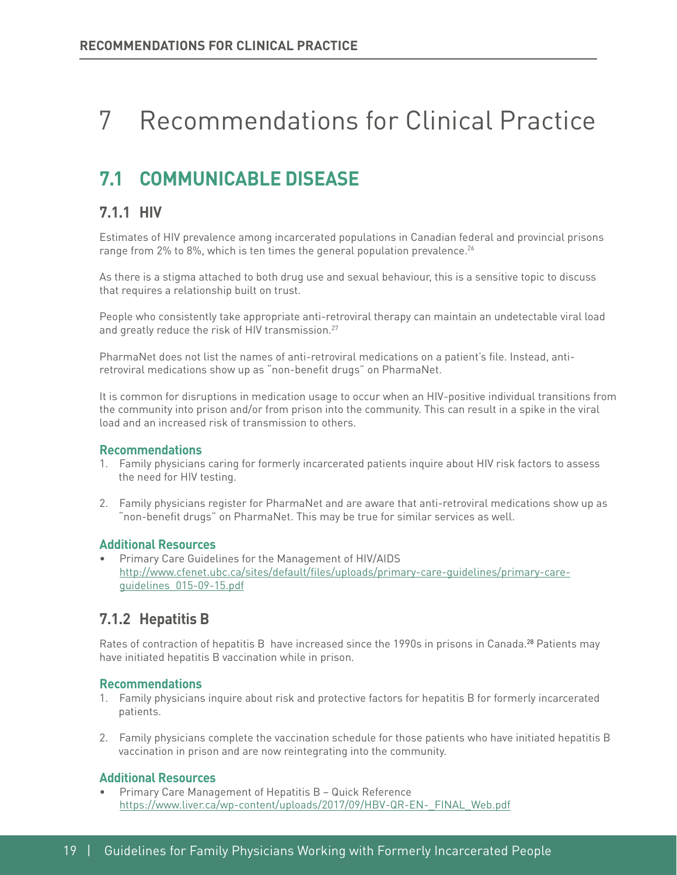# 7 Recommendations for Clinical Practice

# **7.1 COMMUNICABLE DISEASE**

# **7.1.1 HIV**

Estimates of HIV prevalence among incarcerated populations in Canadian federal and provincial prisons range from 2% to 8%, which is ten times the general population prevalence.<sup>26</sup>

As there is a stigma attached to both drug use and sexual behaviour, this is a sensitive topic to discuss that requires a relationship built on trust.

People who consistently take appropriate anti-retroviral therapy can maintain an undetectable viral load and greatly reduce the risk of HIV transmission.<sup>27</sup>

PharmaNet does not list the names of anti-retroviral medications on a patient's fle. Instead, antiretroviral medications show up as "non-benefit drugs" on PharmaNet.

It is common for disruptions in medication usage to occur when an HIV-positive individual transitions from the community into prison and/or from prison into the community. This can result in a spike in the viral load and an increased risk of transmission to others.

#### **Recommendations**

- 1. Family physicians caring for formerly incarcerated patients inquire about HIV risk factors to assess the need for HIV testing.
- 2. Family physicians register for PharmaNet and are aware that anti-retroviral medications show up as "non-benefit drugs" on PharmaNet. This may be true for similar services as well.

#### **Additional Resources**

• Primary Care Guidelines for the Management of HIV/AIDS [http://www.cfenet.ubc.ca/sites/default/fles/uploads/primary-care-guidelines/primary-care](http://www.cfenet.ubc.ca/sites/default/files/uploads/primary-care-guidelines/primary-care-guidelines_015-09-15.pdf)[guidelines\\_015-09-15.pdf](http://www.cfenet.ubc.ca/sites/default/files/uploads/primary-care-guidelines/primary-care-guidelines_015-09-15.pdf) 

### **7.1.2 Hepatitis B**

Rates of contraction of hepatitis B have increased since the 1990s in prisons in Canada.28 Patients may have initiated hepatitis B vaccination while in prison.

#### **Recommendations**

- 1. Family physicians inquire about risk and protective factors for hepatitis B for formerly incarcerated patients.
- 2. Family physicians complete the vaccination schedule for those patients who have initiated hepatitis B vaccination in prison and are now reintegrating into the community.

#### **Additional Resources**

• Primary Care Management of Hepatitis B – Quick Reference [https://www.liver.ca/wp-content/uploads/2017/09/HBV-QR-EN-\\_FINAL\\_Web.pdf](https://www.liver.ca/wp-content/uploads/2017/09/HBV-QR-EN-_FINAL_Web.pdf)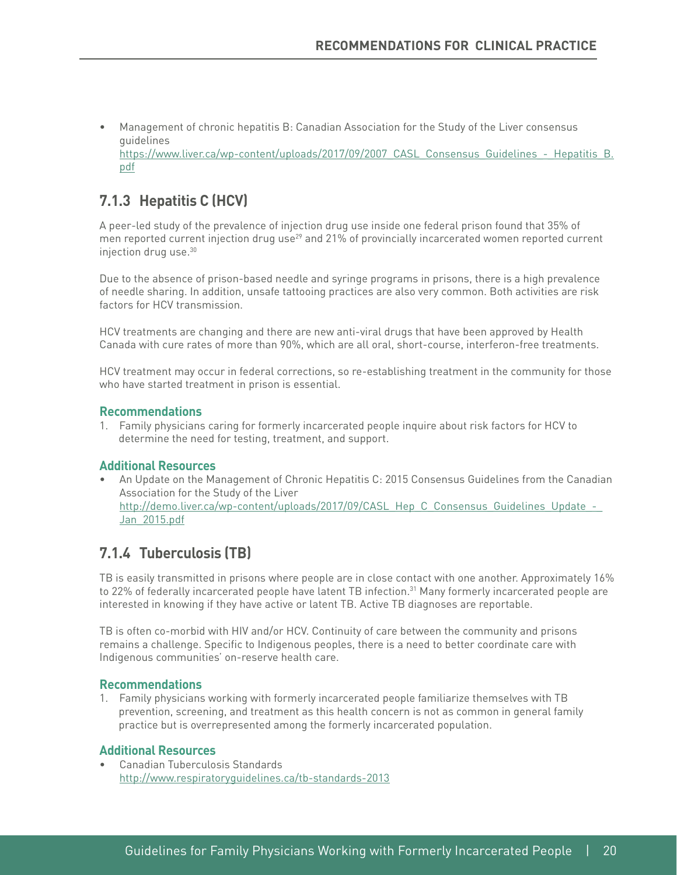• Management of chronic hepatitis B: Canadian Association for the Study of the Liver consensus guidelines https://www.liver.ca/wp-content/uploads/2017/09/2007 CASL Consensus Guidelines - Hepatitis B. [pdf](https://www.liver.ca/wp-content/uploads/2017/09/2007_CASL_Consensus_Guidelines_-_Hepatitis_B.pdf)

# **7.1.3 Hepatitis C (HCV)**

A peer-led study of the prevalence of injection drug use inside one federal prison found that 35% of men reported current injection drug use<sup>29</sup> and 21% of provincially incarcerated women reported current injection drug use.30

Due to the absence of prison-based needle and syringe programs in prisons, there is a high prevalence of needle sharing. In addition, unsafe tattooing practices are also very common. Both activities are risk factors for HCV transmission.

HCV treatments are changing and there are new anti-viral drugs that have been approved by Health Canada with cure rates of more than 90%, which are all oral, short-course, interferon-free treatments.

HCV treatment may occur in federal corrections, so re-establishing treatment in the community for those who have started treatment in prison is essential.

#### **Recommendations**

1. Family physicians caring for formerly incarcerated people inquire about risk factors for HCV to determine the need for testing, treatment, and support.

#### **Additional Resources**

• An Update on the Management of Chronic Hepatitis C: 2015 Consensus Guidelines from the Canadian Association for the Study of the Liver http://demo.liver.ca/wp-content/uploads/2017/09/CASL\_Hep\_C\_Consensus\_Guidelines\_Update\_-[Jan\\_2015.pdf](http://demo.liver.ca/wp-content/uploads/2017/09/CASL_Hep_C_Consensus_Guidelines_Update_-_Jan_2015.pdf) 

## **7.1.4 Tuberculosis (TB)**

TB is easily transmitted in prisons where people are in close contact with one another. Approximately 16% to 22% of federally incarcerated people have latent TB infection.<sup>31</sup> Many formerly incarcerated people are interested in knowing if they have active or latent TB. Active TB diagnoses are reportable.

TB is often co-morbid with HIV and/or HCV. Continuity of care between the community and prisons remains a challenge. Specific to Indigenous peoples, there is a need to better coordinate care with Indigenous communities' on-reserve health care.

#### **Recommendations**

1. Family physicians working with formerly incarcerated people familiarize themselves with TB prevention, screening, and treatment as this health concern is not as common in general family practice but is overrepresented among the formerly incarcerated population.

#### **Additional Resources**

• Canadian Tuberculosis Standards <http://www.respiratoryguidelines.ca/tb-standards-2013>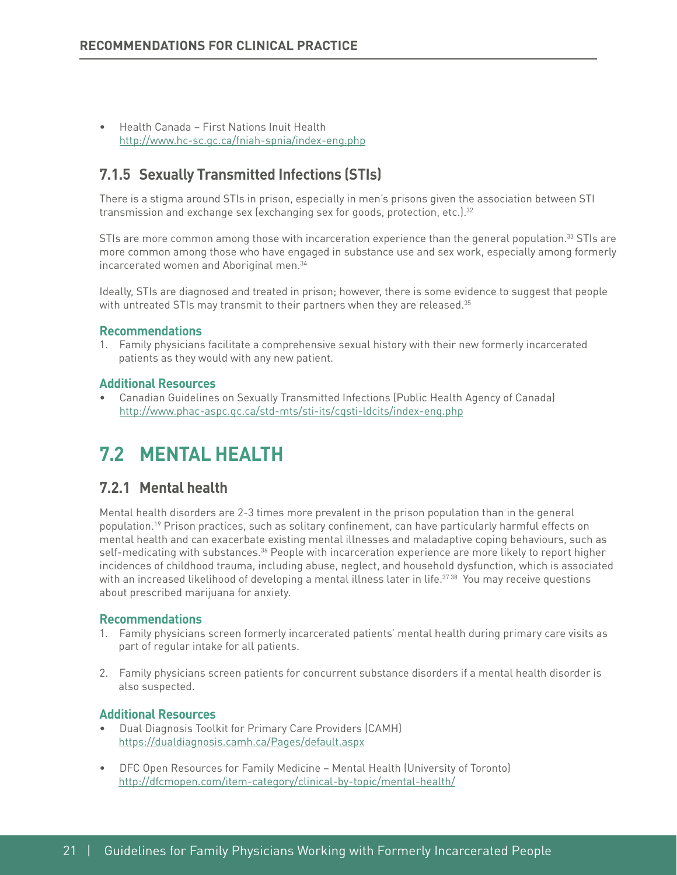• Health Canada – First Nations Inuit Health <http://www.hc-sc.gc.ca/fniah-spnia/index-eng.php>

### **7.1.5 Sexually Transmitted Infections (STIs)**

There is a stigma around STIs in prison, especially in men's prisons given the association between STI transmission and exchange sex (exchanging sex for goods, protection, etc.).<sup>32</sup>

STIs are more common among those with incarceration experience than the general population. $33$  STIs are more common among those who have engaged in substance use and sex work, especially among formerly incarcerated women and Aboriginal men.<sup>34</sup>

Ideally, STIs are diagnosed and treated in prison; however, there is some evidence to suggest that people with untreated STIs may transmit to their partners when they are released. $35$ 

#### **Recommendations**

1. Family physicians facilitate a comprehensive sexual history with their new formerly incarcerated patients as they would with any new patient.

#### **Additional Resources**

• Canadian Guidelines on Sexually Transmitted Infections (Public Health Agency of Canada) <http://www.phac-aspc.gc.ca/std-mts/sti-its/cgsti-ldcits/index-eng.php>

# **7.2 MENTAL HEALTH**

### **7.2.1 Mental health**

Mental health disorders are 2-3 times more prevalent in the prison population than in the general population.19 Prison practices, such as solitary confnement, can have particularly harmful effects on mental health and can exacerbate existing mental illnesses and maladaptive coping behaviours, such as self-medicating with substances.<sup>36</sup> People with incarceration experience are more likely to report higher incidences of childhood trauma, including abuse, neglect, and household dysfunction, which is associated with an increased likelihood of developing a mental illness later in life.<sup>3738</sup> You may receive questions about prescribed marijuana for anxiety.

#### **Recommendations**

- 1. Family physicians screen formerly incarcerated patients' mental health during primary care visits as part of regular intake for all patients.
- 2. Family physicians screen patients for concurrent substance disorders if a mental health disorder is also suspected.

- Dual Diagnosis Toolkit for Primary Care Providers (CAMH) <https://dualdiagnosis.camh.ca/Pages/default.aspx>
- DFC Open Resources for Family Medicine Mental Health (University of Toronto) <http://dfcmopen.com/item-category/clinical-by-topic/mental-health/>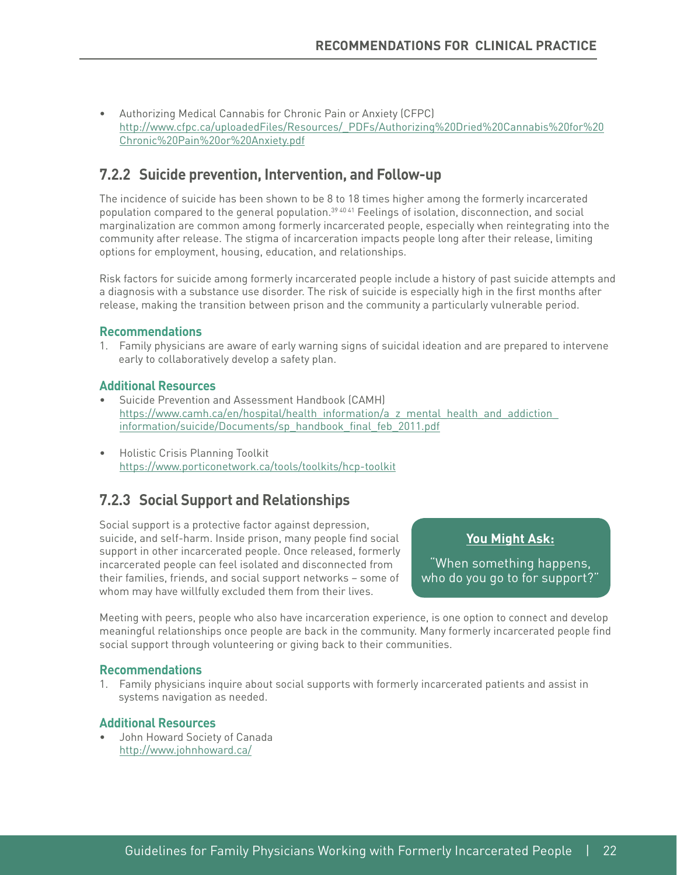• Authorizing Medical Cannabis for Chronic Pain or Anxiety (CFPC) [http://www.cfpc.ca/uploadedFiles/Resources/\\_PDFs/Authorizing%20Dried%20Cannabis%20for%20](http://www.cfpc.ca/uploadedFiles/Resources/_PDFs/Authorizing Dried Cannabis for Chronic Pain or Anxiety.pdf) [Chronic%20Pain%20or%20Anxiety.pdf](http://www.cfpc.ca/uploadedFiles/Resources/_PDFs/Authorizing Dried Cannabis for Chronic Pain or Anxiety.pdf) 

## **7.2.2 Suicide prevention, Intervention, and Follow-up**

The incidence of suicide has been shown to be 8 to 18 times higher among the formerly incarcerated population compared to the general population.39 40 41 Feelings of isolation, disconnection, and social marginalization are common among formerly incarcerated people, especially when reintegrating into the community after release. The stigma of incarceration impacts people long after their release, limiting options for employment, housing, education, and relationships.

Risk factors for suicide among formerly incarcerated people include a history of past suicide attempts and a diagnosis with a substance use disorder. The risk of suicide is especially high in the frst months after release, making the transition between prison and the community a particularly vulnerable period.

#### **Recommendations**

1. Family physicians are aware of early warning signs of suicidal ideation and are prepared to intervene early to collaboratively develop a safety plan.

#### **Additional Resources**

- Suicide Prevention and Assessment Handbook (CAMH) https://www.camh.ca/en/hospital/health\_information/a\_z\_mental\_health\_and\_addiction [information/suicide/Documents/sp\\_handbook\\_fnal\\_feb\\_2011.pdf](https://www.camh.ca/en/hospital/health_information/a_z_mental_health_and_addiction_information/suicide/Documents/sp_handbook_final_feb_2011.pdf)
- <https://www.porticonetwork.ca/tools/toolkits/hcp-toolkit> • Holistic Crisis Planning Toolkit

## **7.2.3 Social Support and Relationships**

Social support is a protective factor against depression, suicide, and self-harm. Inside prison, many people find social support in other incarcerated people. Once released, formerly incarcerated people can feel isolated and disconnected from their families, friends, and social support networks – some of whom may have willfully excluded them from their lives.

### **You Might Ask:**

"When something happens, who do you go to for support?"

Meeting with peers, people who also have incarceration experience, is one option to connect and develop meaningful relationships once people are back in the community. Many formerly incarcerated people fnd social support through volunteering or giving back to their communities.

#### **Recommendations**

1. Family physicians inquire about social supports with formerly incarcerated patients and assist in systems navigation as needed.

#### **Additional Resources**

http://www.iohnhoward.ca/ • John Howard Society of Canada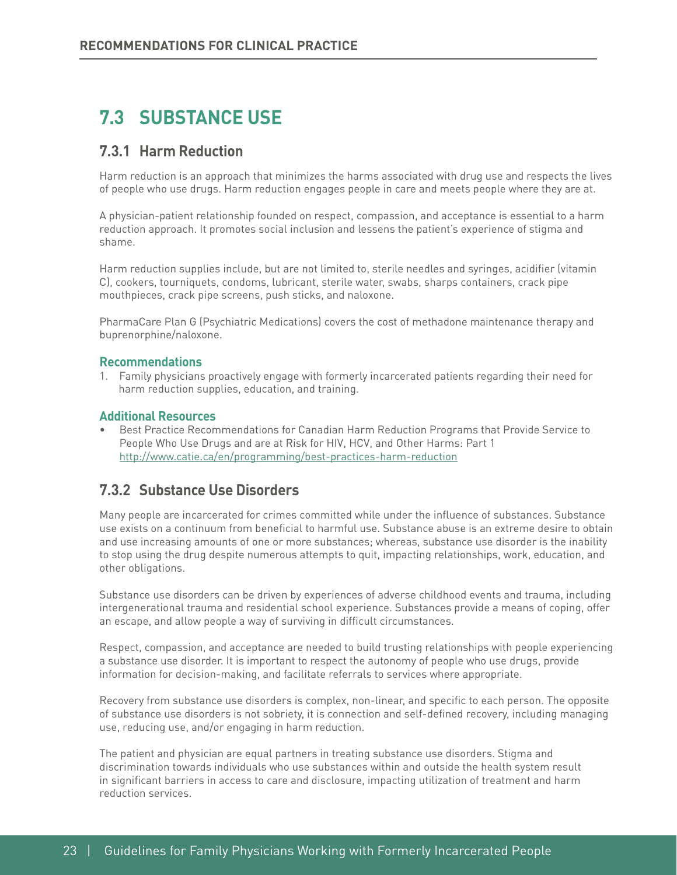# **7.3 SUBSTANCE USE**

### **7.3.1 Harm Reduction**

Harm reduction is an approach that minimizes the harms associated with drug use and respects the lives of people who use drugs. Harm reduction engages people in care and meets people where they are at.

A physician-patient relationship founded on respect, compassion, and acceptance is essential to a harm reduction approach. It promotes social inclusion and lessens the patient's experience of stigma and shame.

Harm reduction supplies include, but are not limited to, sterile needles and syringes, acidifer (vitamin C), cookers, tourniquets, condoms, lubricant, sterile water, swabs, sharps containers, crack pipe mouthpieces, crack pipe screens, push sticks, and naloxone.

PharmaCare Plan G (Psychiatric Medications) covers the cost of methadone maintenance therapy and buprenorphine/naloxone.

#### **Recommendations**

1. Family physicians proactively engage with formerly incarcerated patients regarding their need for harm reduction supplies, education, and training.

#### **Additional Resources**

• Best Practice Recommendations for Canadian Harm Reduction Programs that Provide Service to People Who Use Drugs and are at Risk for HIV, HCV, and Other Harms: Part 1 <http://www.catie.ca/en/programming/best-practices-harm-reduction>

### **7.3.2 Substance Use Disorders**

Many people are incarcerated for crimes committed while under the infuence of substances. Substance use exists on a continuum from benefcial to harmful use. Substance abuse is an extreme desire to obtain and use increasing amounts of one or more substances; whereas, substance use disorder is the inability to stop using the drug despite numerous attempts to quit, impacting relationships, work, education, and other obligations.

Substance use disorders can be driven by experiences of adverse childhood events and trauma, including intergenerational trauma and residential school experience. Substances provide a means of coping, offer an escape, and allow people a way of surviving in difficult circumstances.

Respect, compassion, and acceptance are needed to build trusting relationships with people experiencing a substance use disorder. It is important to respect the autonomy of people who use drugs, provide information for decision-making, and facilitate referrals to services where appropriate.

Recovery from substance use disorders is complex, non-linear, and specific to each person. The opposite of substance use disorders is not sobriety, it is connection and self-defned recovery, including managing use, reducing use, and/or engaging in harm reduction.

The patient and physician are equal partners in treating substance use disorders. Stigma and discrimination towards individuals who use substances within and outside the health system result in signifcant barriers in access to care and disclosure, impacting utilization of treatment and harm reduction services.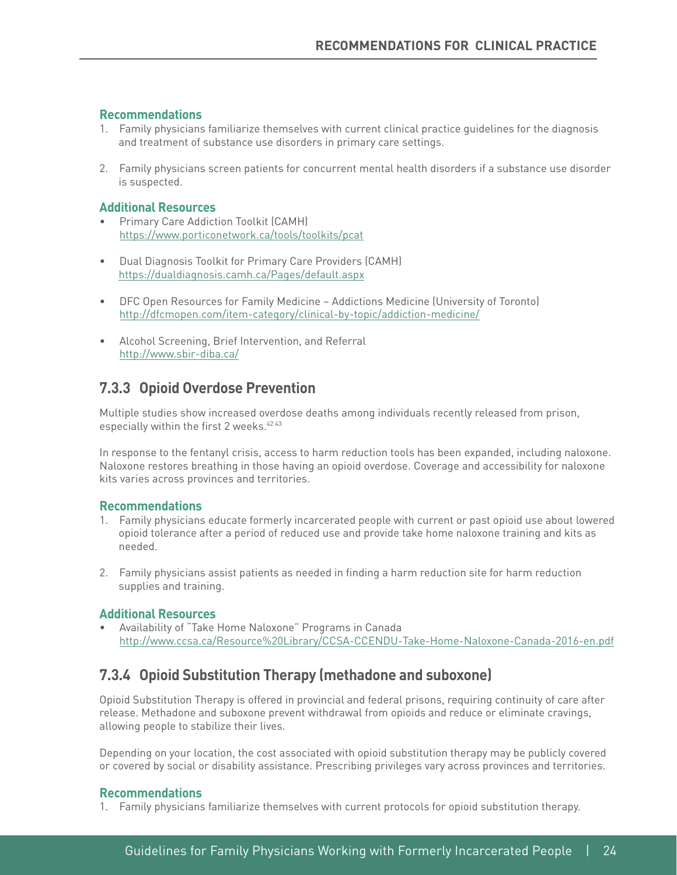#### **Recommendations**

- 1. Family physicians familiarize themselves with current clinical practice guidelines for the diagnosis and treatment of substance use disorders in primary care settings.
- 2. Family physicians screen patients for concurrent mental health disorders if a substance use disorder is suspected.

#### **Additional Resources**

- https://www.porticonetwork.ca/tools/toolkits/pcat • Primary Care Addiction Toolkit (CAMH)
- Dual Diagnosis Toolkit for Primary Care Providers (CAMH) <https://dualdiagnosis.camh.ca/Pages/default.aspx>
- <http://dfcmopen.com/item-category/clinical-by-topic/addiction-medicine/> Alcohol Screening, Brief Intervention, and Referral • DFC Open Resources for Family Medicine – Addictions Medicine (University of Toronto)
- <http://www.sbir-diba.ca/>

### **7.3.3 Opioid Overdose Prevention**

Multiple studies show increased overdose deaths among individuals recently released from prison, especially within the first 2 weeks.<sup>42 43</sup>

In response to the fentanyl crisis, access to harm reduction tools has been expanded, including naloxone. Naloxone restores breathing in those having an opioid overdose. Coverage and accessibility for naloxone kits varies across provinces and territories.

#### **Recommendations**

- 1. Family physicians educate formerly incarcerated people with current or past opioid use about lowered opioid tolerance after a period of reduced use and provide take home naloxone training and kits as needed.
- 2. Family physicians assist patients as needed in fnding a harm reduction site for harm reduction supplies and training.

#### **Additional Resources**

 [http://www.ccsa.ca/Resource%20Library/CCSA-CCENDU-Take-Home-Naloxone-Canada-2016-en.pdf](http://www.ccsa.ca/Resource Library/CCSA-CCENDU-Take-Home-Naloxone-Canada-2016-en.pdf) • Availability of "Take Home Naloxone" Programs in Canada

### **7.3.4 Opioid Substitution Therapy (methadone and suboxone)**

Opioid Substitution Therapy is offered in provincial and federal prisons, requiring continuity of care after release. Methadone and suboxone prevent withdrawal from opioids and reduce or eliminate cravings, allowing people to stabilize their lives.

Depending on your location, the cost associated with opioid substitution therapy may be publicly covered or covered by social or disability assistance. Prescribing privileges vary across provinces and territories.

#### **Recommendations**

1. Family physicians familiarize themselves with current protocols for opioid substitution therapy.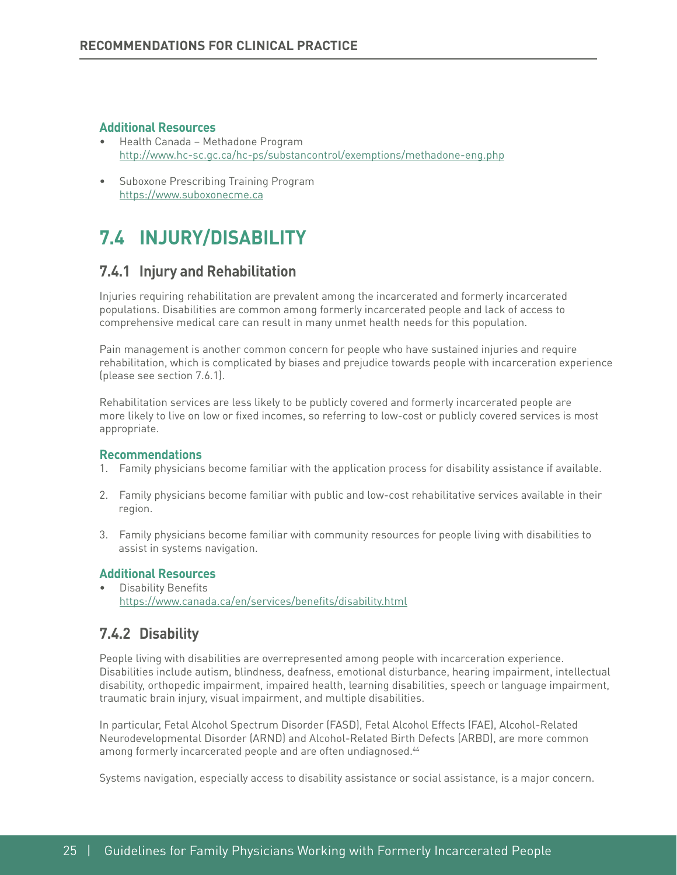#### **Additional Resources**

- <http://www.hc-sc.gc.ca/hc-ps/substancontrol/exemptions/methadone-eng.php> Suboxone Prescribing Training Program • Health Canada – Methadone Program
- <https://www.suboxonecme.ca>

# **7.4 INJURY/DISABILITY**

### **7.4.1 Injury and Rehabilitation**

Injuries requiring rehabilitation are prevalent among the incarcerated and formerly incarcerated populations. Disabilities are common among formerly incarcerated people and lack of access to comprehensive medical care can result in many unmet health needs for this population.

Pain management is another common concern for people who have sustained injuries and require rehabilitation, which is complicated by biases and prejudice towards people with incarceration experience (please see section 7.6.1).

Rehabilitation services are less likely to be publicly covered and formerly incarcerated people are more likely to live on low or fxed incomes, so referring to low-cost or publicly covered services is most appropriate.

#### **Recommendations**

- 1. Family physicians become familiar with the application process for disability assistance if available.
- 2. Family physicians become familiar with public and low-cost rehabilitative services available in their region.
- 3. Family physicians become familiar with community resources for people living with disabilities to assist in systems navigation.

#### **Additional Resources**

Disability Benefits [https://www.canada.ca/en/services/benefts/disability.html](https://www.canada.ca/en/services/benefits/disability.html)

### **7.4.2 Disability**

People living with disabilities are overrepresented among people with incarceration experience. Disabilities include autism, blindness, deafness, emotional disturbance, hearing impairment, intellectual disability, orthopedic impairment, impaired health, learning disabilities, speech or language impairment, traumatic brain injury, visual impairment, and multiple disabilities.

In particular, Fetal Alcohol Spectrum Disorder (FASD), Fetal Alcohol Effects (FAE), Alcohol-Related Neurodevelopmental Disorder (ARND) and Alcohol-Related Birth Defects (ARBD), are more common among formerly incarcerated people and are often undiagnosed.<sup>44</sup>

Systems navigation, especially access to disability assistance or social assistance, is a major concern.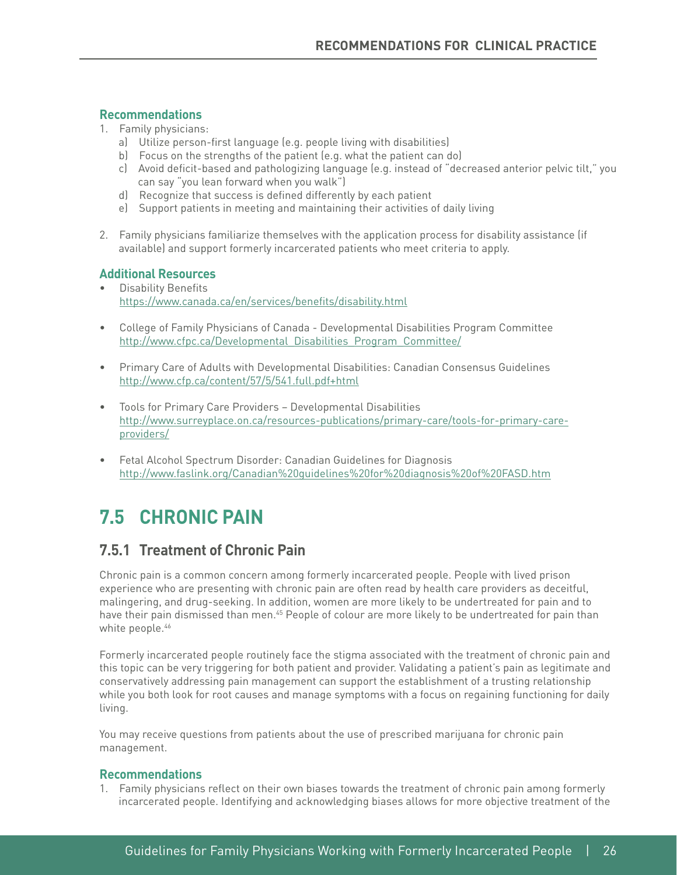#### **Recommendations**

- 1. Family physicians:
	- a) Utilize person-frst language (e.g. people living with disabilities)
	- b) Focus on the strengths of the patient (e.g. what the patient can do)
	- c) Avoid deficit-based and pathologizing language (e.g. instead of "decreased anterior pelvic tilt," you can say "you lean forward when you walk")
	- d) Recognize that success is defned differently by each patient
	- e) Support patients in meeting and maintaining their activities of daily living
- 2. Family physicians familiarize themselves with the application process for disability assistance (if available) and support formerly incarcerated patients who meet criteria to apply.

#### **Additional Resources**

- https://www.canada.ca/en/services/benefits/disability.html • Disability Benefits
- http://www.cfpc.ca/Developmental Disabilities Program Committee/ • College of Family Physicians of Canada - Developmental Disabilities Program Committee
- http://www.cfp.ca/content/57/5/541.full.pdf+html • Primary Care of Adults with Developmental Disabilities: Canadian Consensus Guidelines
- providers/ Tools for Primary Care Providers – Developmental Disabilities [http://www.surreyplace.on.ca/resources-publications/primary-care/tools-for-primary-care-](http://www.surreyplace.on.ca/resources-publications/primary-care/tools-for-primary-care-providers/)
- Fetal Alcohol Spectrum Disorder: Canadian Guidelines for Diagnosis [http://www.faslink.org/Canadian%20guidelines%20for%20diagnosis%20of%20FASD.htm](http://www.faslink.org/Canadian guidelines for diagnosis of FASD.htm)

# **7.5 CHRONIC PAIN**

## **7.5.1 Treatment of Chronic Pain**

Chronic pain is a common concern among formerly incarcerated people. People with lived prison experience who are presenting with chronic pain are often read by health care providers as deceitful, malingering, and drug-seeking. In addition, women are more likely to be undertreated for pain and to have their pain dismissed than men.<sup>45</sup> People of colour are more likely to be undertreated for pain than white people.<sup>46</sup>

Formerly incarcerated people routinely face the stigma associated with the treatment of chronic pain and this topic can be very triggering for both patient and provider. Validating a patient's pain as legitimate and conservatively addressing pain management can support the establishment of a trusting relationship while you both look for root causes and manage symptoms with a focus on regaining functioning for daily living.

You may receive questions from patients about the use of prescribed marijuana for chronic pain management.

### **Recommendations**

1. Family physicians refect on their own biases towards the treatment of chronic pain among formerly incarcerated people. Identifying and acknowledging biases allows for more objective treatment of the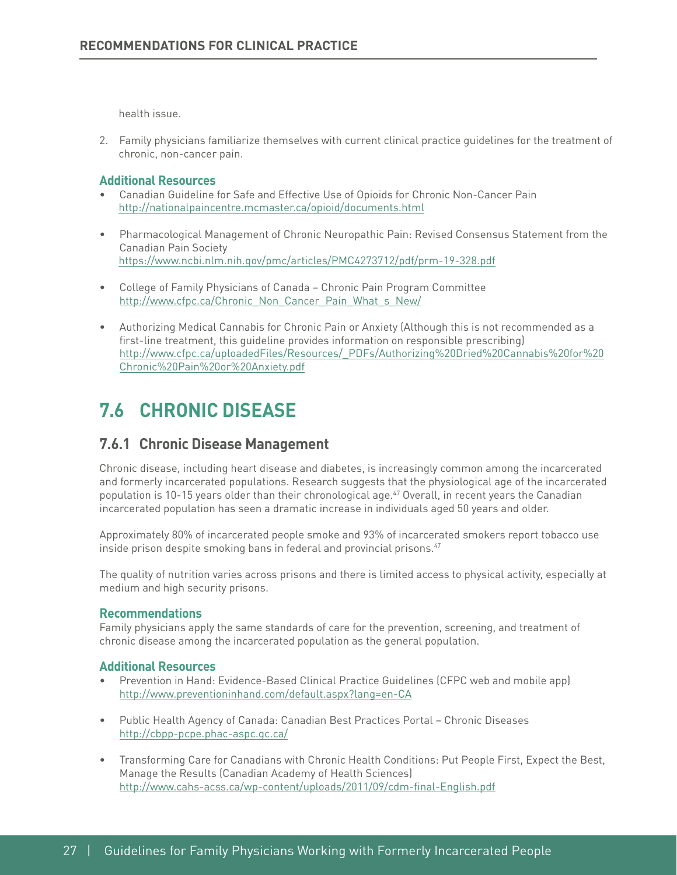health issue.

2. Family physicians familiarize themselves with current clinical practice guidelines for the treatment of chronic, non-cancer pain.

#### **Additional Resources**

- Canadian Guideline for Safe and Effective Use of Opioids for Chronic Non-Cancer Pain <http://nationalpaincentre.mcmaster.ca/opioid/documents.html>
- Pharmacological Management of Chronic Neuropathic Pain: Revised Consensus Statement from the Canadian Pain Society <https://www.ncbi.nlm.nih.gov/pmc/articles/PMC4273712/pdf/prm-19-328.pdf>
- http://www.cfpc.ca/Chronic Non Cancer Pain What s New/ • College of Family Physicians of Canada – Chronic Pain Program Committee
- Authorizing Medical Cannabis for Chronic Pain or Anxiety (Although this is not recommended as a first-line treatment, this quideline provides information on responsible prescribing) [http://www.cfpc.ca/uploadedFiles/Resources/\\_PDFs/Authorizing%20Dried%20Cannabis%20for%20](http://www.cfpc.ca/uploadedFiles/Resources/_PDFs/Authorizing Dried Cannabis for Chronic Pain or Anxiety.pdf) [Chronic%20Pain%20or%20Anxiety.pdf](http://www.cfpc.ca/uploadedFiles/Resources/_PDFs/Authorizing Dried Cannabis for Chronic Pain or Anxiety.pdf)

# **7.6 CHRONIC DISEASE**

### **7.6.1 Chronic Disease Management**

Chronic disease, including heart disease and diabetes, is increasingly common among the incarcerated and formerly incarcerated populations. Research suggests that the physiological age of the incarcerated population is 10-15 years older than their chronological age.<sup>47</sup> Overall, in recent years the Canadian incarcerated population has seen a dramatic increase in individuals aged 50 years and older.

Approximately 80% of incarcerated people smoke and 93% of incarcerated smokers report tobacco use inside prison despite smoking bans in federal and provincial prisons.<sup>47</sup>

The quality of nutrition varies across prisons and there is limited access to physical activity, especially at medium and high security prisons.

#### **Recommendations**

Family physicians apply the same standards of care for the prevention, screening, and treatment of chronic disease among the incarcerated population as the general population.

- Prevention in Hand: Evidence-Based Clinical Practice Guidelines (CFPC web and mobile app) <http://www.preventioninhand.com/default.aspx?lang=en-CA>
- http://cbpp-pcpe.phac-aspc.gc.ca/ • Public Health Agency of Canada: Canadian Best Practices Portal – Chronic Diseases
- Transforming Care for Canadians with Chronic Health Conditions: Put People First, Expect the Best, Manage the Results (Canadian Academy of Health Sciences) [http://www.cahs-acss.ca/wp-content/uploads/2011/09/cdm-fnal-English.pdf](http://www.cahs-acss.ca/wp-content/uploads/2011/09/cdm-final-English.pdf)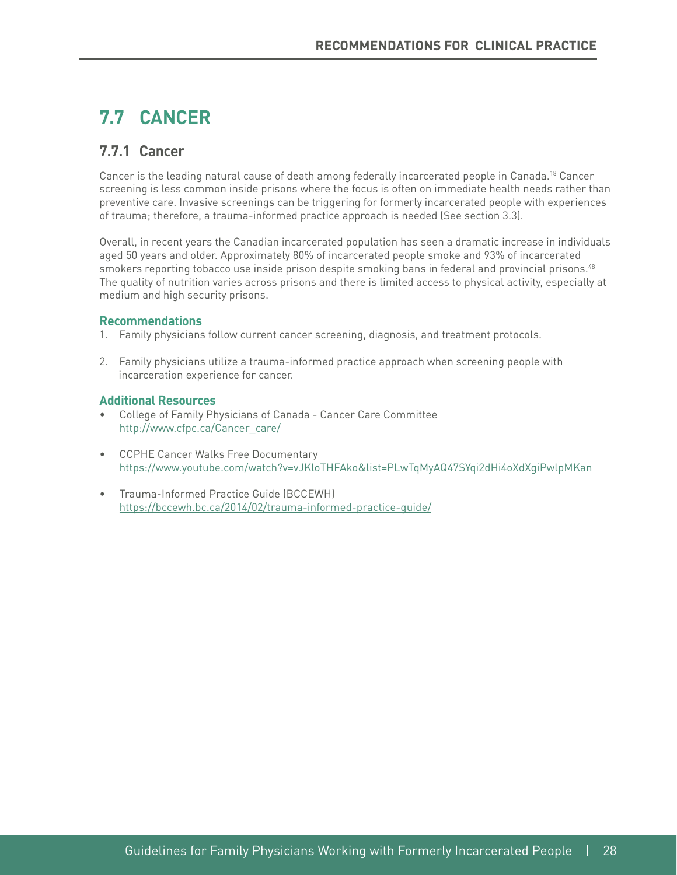# **7.7 CANCER**

# **7.7.1 Cancer**

Cancer is the leading natural cause of death among federally incarcerated people in Canada.<sup>18</sup> Cancer screening is less common inside prisons where the focus is often on immediate health needs rather than preventive care. Invasive screenings can be triggering for formerly incarcerated people with experiences of trauma; therefore, a trauma-informed practice approach is needed (See section 3.3).

Overall, in recent years the Canadian incarcerated population has seen a dramatic increase in individuals aged 50 years and older. Approximately 80% of incarcerated people smoke and 93% of incarcerated smokers reporting tobacco use inside prison despite smoking bans in federal and provincial prisons.<sup>48</sup> The quality of nutrition varies across prisons and there is limited access to physical activity, especially at medium and high security prisons.

#### **Recommendations**

- 1. Family physicians follow current cancer screening, diagnosis, and treatment protocols.
- 2. Family physicians utilize a trauma-informed practice approach when screening people with incarceration experience for cancer.

- http://www.cfpc.ca/Cancer care/ • College of Family Physicians of Canada - Cancer Care Committee
- CCPHE Cancer Walks Free Documentary <https://www.youtube.com/watch?v=vJKloTHFAko&list=PLwTqMyAQ47SYqi2dHi4oXdXgiPwlpMKan>
- Trauma-Informed Practice Guide (BCCEWH) <https://bccewh.bc.ca/2014/02/trauma-informed-practice-guide/>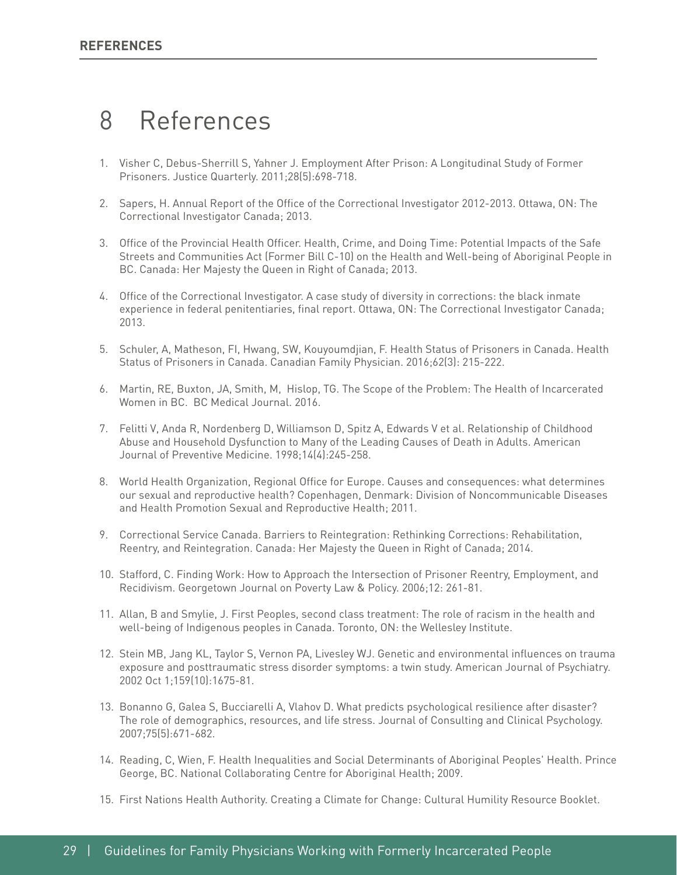# 8 References

- 1. Visher C, Debus-Sherrill S, Yahner J. Employment After Prison: A Longitudinal Study of Former Prisoners. Justice Quarterly. 2011;28(5):698-718.
- 2. Sapers, H. Annual Report of the Office of the Correctional Investigator 2012-2013. Ottawa, ON: The Correctional Investigator Canada; 2013.
- 3. Office of the Provincial Health Officer. Health, Crime, and Doing Time: Potential Impacts of the Safe Streets and Communities Act (Former Bill C-10) on the Health and Well-being of Aboriginal People in BC. Canada: Her Majesty the Queen in Right of Canada; 2013.
- 4. Office of the Correctional Investigator. A case study of diversity in corrections: the black inmate experience in federal penitentiaries, fnal report. Ottawa, ON: The Correctional Investigator Canada; 2013.
- 5. Schuler, A, Matheson, FI, Hwang, SW, Kouyoumdjian, F. Health Status of Prisoners in Canada. Health Status of Prisoners in Canada. Canadian Family Physician. 2016;62(3): 215-222.
- 6. Martin, RE, Buxton, JA, Smith, M, Hislop, TG. The Scope of the Problem: The Health of Incarcerated Women in BC. BC Medical Journal. 2016.
- 7. Felitti V, Anda R, Nordenberg D, Williamson D, Spitz A, Edwards V et al. Relationship of Childhood Abuse and Household Dysfunction to Many of the Leading Causes of Death in Adults. American Journal of Preventive Medicine. 1998;14(4):245-258.
- 8. World Health Organization, Regional Office for Europe. Causes and consequences: what determines our sexual and reproductive health? Copenhagen, Denmark: Division of Noncommunicable Diseases and Health Promotion Sexual and Reproductive Health; 2011.
- 9. Correctional Service Canada. Barriers to Reintegration: Rethinking Corrections: Rehabilitation, Reentry, and Reintegration. Canada: Her Majesty the Queen in Right of Canada; 2014.
- 10. Stafford, C. Finding Work: How to Approach the Intersection of Prisoner Reentry, Employment, and Recidivism. Georgetown Journal on Poverty Law & Policy. 2006;12: 261-81.
- 11. Allan, B and Smylie, J. First Peoples, second class treatment: The role of racism in the health and well-being of Indigenous peoples in Canada. Toronto, ON: the Wellesley Institute.
- 12. Stein MB, Jang KL, Taylor S, Vernon PA, Livesley WJ. Genetic and environmental infuences on trauma exposure and posttraumatic stress disorder symptoms: a twin study. American Journal of Psychiatry. 2002 Oct 1;159(10):1675-81.
- 13. Bonanno G, Galea S, Bucciarelli A, Vlahov D. What predicts psychological resilience after disaster? The role of demographics, resources, and life stress. Journal of Consulting and Clinical Psychology. 2007;75(5):671-682.
- 14. Reading, C, Wien, F. Health Inequalities and Social Determinants of Aboriginal Peoples' Health. Prince George, BC. National Collaborating Centre for Aboriginal Health; 2009.
- 15. First Nations Health Authority. Creating a Climate for Change: Cultural Humility Resource Booklet.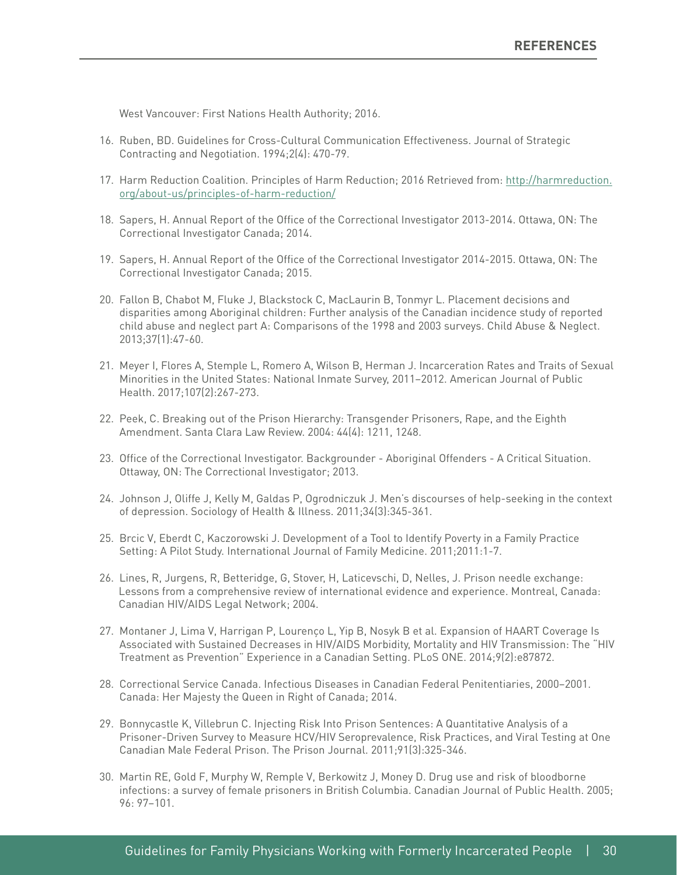West Vancouver: First Nations Health Authority; 2016.

- 16. Ruben, BD. Guidelines for Cross-Cultural Communication Effectiveness. Journal of Strategic Contracting and Negotiation. 1994;2(4): 470-79.
- org/about-us/principles-of-harm-reduction/ 17. Harm Reduction Coalition. Principles of Harm Reduction; 2016 Retrieved from: [http://harmreduction.](http://harmreduction.org/about-us/principles-of-harm-reduction/)
- 18. Sapers, H. Annual Report of the Office of the Correctional Investigator 2013-2014. Ottawa, ON: The Correctional Investigator Canada; 2014.
- 19. Sapers, H. Annual Report of the Office of the Correctional Investigator 2014-2015. Ottawa, ON: The Correctional Investigator Canada; 2015.
- 20. Fallon B, Chabot M, Fluke J, Blackstock C, MacLaurin B, Tonmyr L. Placement decisions and disparities among Aboriginal children: Further analysis of the Canadian incidence study of reported child abuse and neglect part A: Comparisons of the 1998 and 2003 surveys. Child Abuse & Neglect. 2013;37(1):47-60.
- 21. Meyer I, Flores A, Stemple L, Romero A, Wilson B, Herman J. Incarceration Rates and Traits of Sexual Minorities in the United States: National Inmate Survey, 2011–2012. American Journal of Public Health. 2017;107(2):267-273.
- 22. Peek, C. Breaking out of the Prison Hierarchy: Transgender Prisoners, Rape, and the Eighth Amendment. Santa Clara Law Review. 2004: 44(4): 1211, 1248.
- 23. Office of the Correctional Investigator. Backgrounder Aboriginal Offenders A Critical Situation. Ottaway, ON: The Correctional Investigator; 2013.
- 24. Johnson J, Oliffe J, Kelly M, Galdas P, Ogrodniczuk J. Men's discourses of help-seeking in the context of depression. Sociology of Health & Illness. 2011;34(3):345-361.
- 25. Brcic V, Eberdt C, Kaczorowski J. Development of a Tool to Identify Poverty in a Family Practice Setting: A Pilot Study. International Journal of Family Medicine. 2011;2011:1-7.
- 26. Lines, R, Jurgens, R, Betteridge, G, Stover, H, Laticevschi, D, Nelles, J. Prison needle exchange: Lessons from a comprehensive review of international evidence and experience. Montreal, Canada: Canadian HIV/AIDS Legal Network; 2004.
- 27. Montaner J, Lima V, Harrigan P, Lourenço L, Yip B, Nosyk B et al. Expansion of HAART Coverage Is Associated with Sustained Decreases in HIV/AIDS Morbidity, Mortality and HIV Transmission: The "HIV Treatment as Prevention" Experience in a Canadian Setting. PLoS ONE. 2014;9(2):e87872.
- 28. Correctional Service Canada. Infectious Diseases in Canadian Federal Penitentiaries, 2000–2001. Canada: Her Majesty the Queen in Right of Canada; 2014.
- 29. Bonnycastle K, Villebrun C. Injecting Risk Into Prison Sentences: A Quantitative Analysis of a Prisoner-Driven Survey to Measure HCV/HIV Seroprevalence, Risk Practices, and Viral Testing at One Canadian Male Federal Prison. The Prison Journal. 2011;91(3):325-346.
- 30. Martin RE, Gold F, Murphy W, Remple V, Berkowitz J, Money D. Drug use and risk of bloodborne infections: a survey of female prisoners in British Columbia. Canadian Journal of Public Health. 2005; 96: 97–101.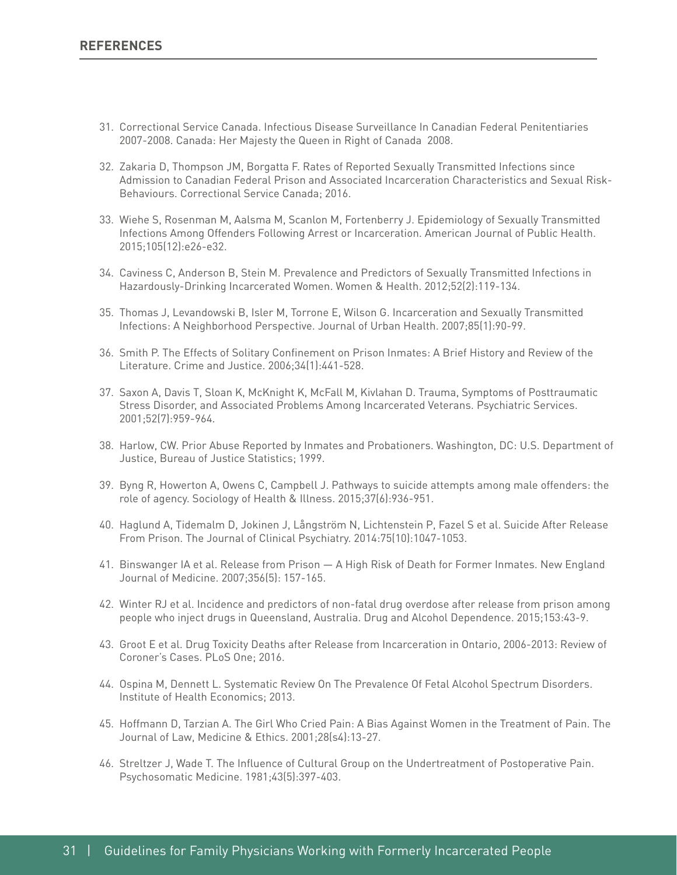- 31. Correctional Service Canada. Infectious Disease Surveillance In Canadian Federal Penitentiaries 2007-2008. Canada: Her Majesty the Queen in Right of Canada 2008.
- 32. Zakaria D, Thompson JM, Borgatta F. Rates of Reported Sexually Transmitted Infections since Admission to Canadian Federal Prison and Associated Incarceration Characteristics and Sexual Risk-Behaviours. Correctional Service Canada; 2016.
- 33. Wiehe S, Rosenman M, Aalsma M, Scanlon M, Fortenberry J. Epidemiology of Sexually Transmitted Infections Among Offenders Following Arrest or Incarceration. American Journal of Public Health. 2015;105(12):e26-e32.
- 34. Caviness C, Anderson B, Stein M. Prevalence and Predictors of Sexually Transmitted Infections in Hazardously-Drinking Incarcerated Women. Women & Health. 2012;52(2):119-134.
- 35. Thomas J, Levandowski B, Isler M, Torrone E, Wilson G. Incarceration and Sexually Transmitted Infections: A Neighborhood Perspective. Journal of Urban Health. 2007;85(1):90-99.
- 36. Smith P. The Effects of Solitary Confnement on Prison Inmates: A Brief History and Review of the Literature. Crime and Justice. 2006;34(1):441-528.
- 37. Saxon A, Davis T, Sloan K, McKnight K, McFall M, Kivlahan D. Trauma, Symptoms of Posttraumatic Stress Disorder, and Associated Problems Among Incarcerated Veterans. Psychiatric Services. 2001;52(7):959-964.
- 38. Harlow, CW. Prior Abuse Reported by Inmates and Probationers. Washington, DC: U.S. Department of Justice, Bureau of Justice Statistics; 1999.
- 39. Byng R, Howerton A, Owens C, Campbell J. Pathways to suicide attempts among male offenders: the role of agency. Sociology of Health & Illness. 2015;37(6):936-951.
- 40. Haglund A, Tidemalm D, Jokinen J, Långström N, Lichtenstein P, Fazel S et al. Suicide After Release From Prison. The Journal of Clinical Psychiatry. 2014:75(10):1047-1053.
- 41. Binswanger IA et al. Release from Prison A High Risk of Death for Former Inmates. New England Journal of Medicine. 2007;356(5): 157-165.
- 42. Winter RJ et al. Incidence and predictors of non-fatal drug overdose after release from prison among people who inject drugs in Queensland, Australia. Drug and Alcohol Dependence. 2015;153:43-9.
- 43. Groot E et al. Drug Toxicity Deaths after Release from Incarceration in Ontario, 2006-2013: Review of Coroner's Cases. PLoS One; 2016.
- 44. Ospina M, Dennett L. Systematic Review On The Prevalence Of Fetal Alcohol Spectrum Disorders. Institute of Health Economics; 2013.
- 45. Hoffmann D, Tarzian A. The Girl Who Cried Pain: A Bias Against Women in the Treatment of Pain. The Journal of Law, Medicine & Ethics. 2001;28(s4):13-27.
- 46. Streltzer J, Wade T. The Infuence of Cultural Group on the Undertreatment of Postoperative Pain. Psychosomatic Medicine. 1981;43(5):397-403.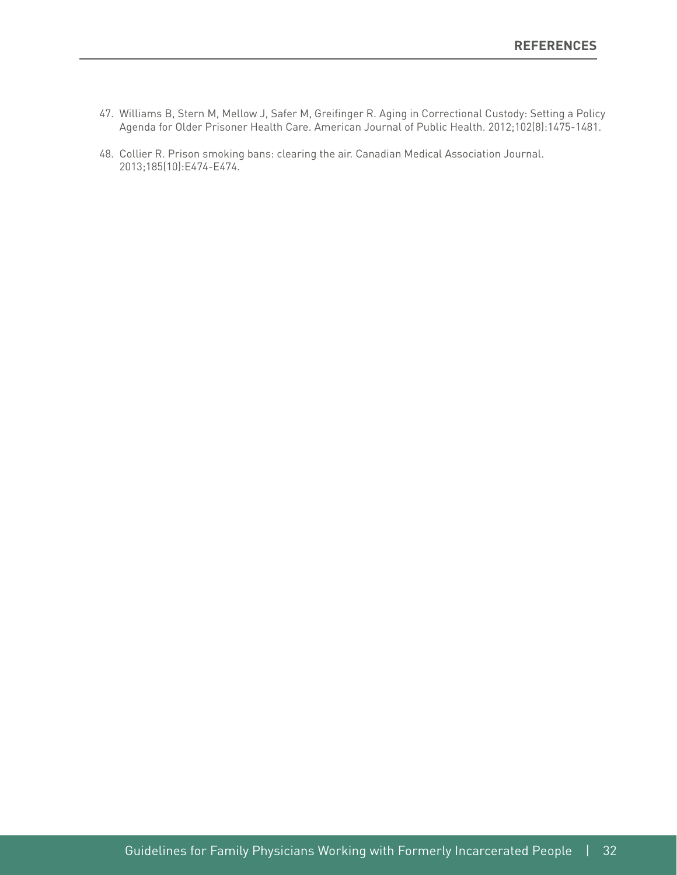- 47. Williams B, Stern M, Mellow J, Safer M, Greifnger R. Aging in Correctional Custody: Setting a Policy Agenda for Older Prisoner Health Care. American Journal of Public Health. 2012;102(8):1475-1481.
- 48. Collier R. Prison smoking bans: clearing the air. Canadian Medical Association Journal. 2013;185(10):E474-E474.